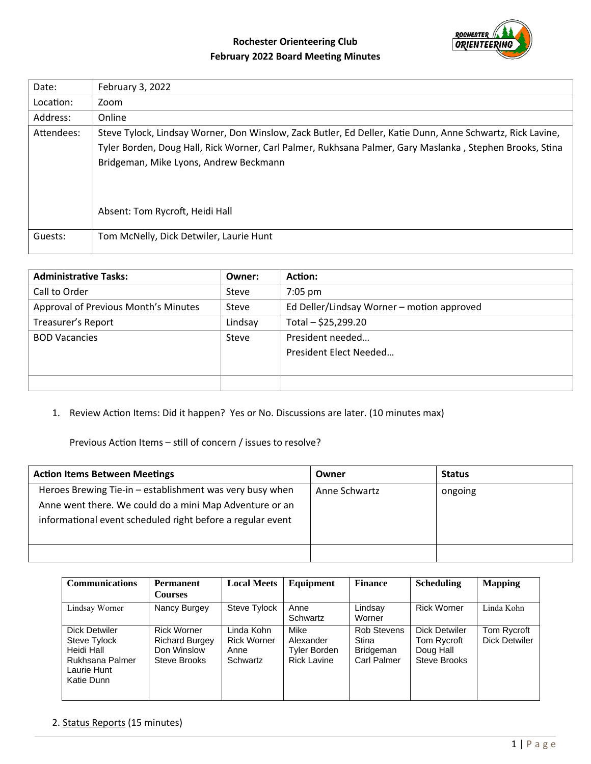# **Rochester Orienteering Club February 2022 Board Meeting Minutes**



| Date:      | February 3, 2022                                                                                                                                                                                                                                                                                    |
|------------|-----------------------------------------------------------------------------------------------------------------------------------------------------------------------------------------------------------------------------------------------------------------------------------------------------|
| Location:  | Zoom                                                                                                                                                                                                                                                                                                |
| Address:   | Online                                                                                                                                                                                                                                                                                              |
| Attendees: | Steve Tylock, Lindsay Worner, Don Winslow, Zack Butler, Ed Deller, Katie Dunn, Anne Schwartz, Rick Lavine,<br>Tyler Borden, Doug Hall, Rick Worner, Carl Palmer, Rukhsana Palmer, Gary Maslanka, Stephen Brooks, Stina<br>Bridgeman, Mike Lyons, Andrew Beckmann<br>Absent: Tom Rycroft, Heidi Hall |
| Guests:    | Tom McNelly, Dick Detwiler, Laurie Hunt                                                                                                                                                                                                                                                             |

| <b>Administrative Tasks:</b>         | Owner:  | Action:                                    |
|--------------------------------------|---------|--------------------------------------------|
| Call to Order                        | Steve   | 7:05 pm                                    |
| Approval of Previous Month's Minutes | Steve   | Ed Deller/Lindsay Worner - motion approved |
| Treasurer's Report                   | Lindsay | Total - \$25,299.20                        |
| <b>BOD Vacancies</b>                 | Steve   | President needed                           |
|                                      |         | President Elect Needed                     |
|                                      |         |                                            |
|                                      |         |                                            |

1. Review Action Items: Did it happen? Yes or No. Discussions are later. (10 minutes max)

Previous Action Items – still of concern / issues to resolve?

| <b>Action Items Between Meetings</b>                                                                                                                                              | Owner         | <b>Status</b> |
|-----------------------------------------------------------------------------------------------------------------------------------------------------------------------------------|---------------|---------------|
| Heroes Brewing Tie-in – establishment was very busy when<br>Anne went there. We could do a mini Map Adventure or an<br>informational event scheduled right before a regular event | Anne Schwartz | ongoing       |
|                                                                                                                                                                                   |               |               |

| <b>Communications</b>                                                                       | Permanent                                                                  | <b>Local Meets</b>                                   | Equipment                                               | Finance                                                 | <b>Scheduling</b>                                         | <b>Mapping</b>                      |
|---------------------------------------------------------------------------------------------|----------------------------------------------------------------------------|------------------------------------------------------|---------------------------------------------------------|---------------------------------------------------------|-----------------------------------------------------------|-------------------------------------|
|                                                                                             | Courses                                                                    |                                                      |                                                         |                                                         |                                                           |                                     |
| Lindsay Worner                                                                              | Nancy Burgey                                                               | Steve Tylock                                         | Anne<br>Schwartz                                        | Lindsay<br>Worner                                       | <b>Rick Worner</b>                                        | Linda Kohn                          |
| Dick Detwiler<br>Steve Tylock<br>Heidi Hall<br>Rukhsana Palmer<br>Laurie Hunt<br>Katie Dunn | <b>Rick Worner</b><br><b>Richard Burgey</b><br>Don Winslow<br>Steve Brooks | Linda Kohn<br><b>Rick Worner</b><br>Anne<br>Schwartz | Mike<br>Alexander<br>Tyler Borden<br><b>Rick Lavine</b> | Rob Stevens<br>Stina<br><b>Bridgeman</b><br>Carl Palmer | Dick Detwiler<br>Tom Rycroft<br>Doug Hall<br>Steve Brooks | Tom Rycroft<br><b>Dick Detwiler</b> |

### 2. Status Reports (15 minutes)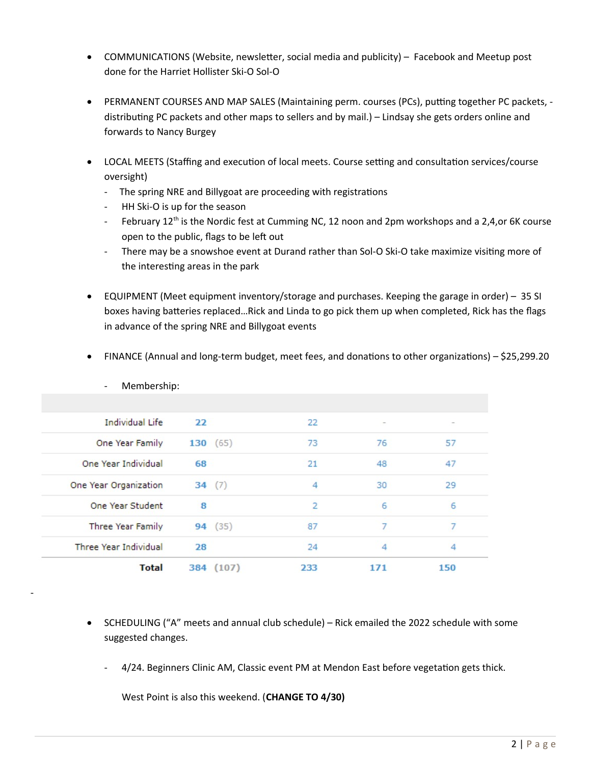- COMMUNICATIONS (Website, newsletter, social media and publicity) Facebook and Meetup post done for the Harriet Hollister Ski-O Sol-O
- PERMANENT COURSES AND MAP SALES (Maintaining perm. courses (PCs), putting together PC packets, distributing PC packets and other maps to sellers and by mail.) – Lindsay she gets orders online and forwards to Nancy Burgey
- LOCAL MEETS (Staffing and execution of local meets. Course setting and consultation services/course oversight)
	- The spring NRE and Billygoat are proceeding with registrations
	- HH Ski-O is up for the season

-

- February 12<sup>th</sup> is the Nordic fest at Cumming NC, 12 noon and 2pm workshops and a 2,4,or 6K course open to the public, flags to be left out
- There may be a snowshoe event at Durand rather than Sol-O Ski-O take maximize visiting more of the interesting areas in the park
- EQUIPMENT (Meet equipment inventory/storage and purchases. Keeping the garage in order) 35 SI boxes having batteries replaced…Rick and Linda to go pick them up when completed, Rick has the flags in advance of the spring NRE and Billygoat events

| <b>Total</b>                            |    | 384 (107) | 233            | 171    | 150    |  |
|-----------------------------------------|----|-----------|----------------|--------|--------|--|
| <b>Three Year Individual</b>            | 28 |           | 24             | 4      | 4      |  |
| <b>Three Year Family</b>                |    | 94 (35)   | 87             | 7      | 7      |  |
| One Year Student                        | 8  |           | $\overline{2}$ | 6      | 6      |  |
| One Year Organization                   |    | 34(7)     | 4              | 30     | 29     |  |
| One Year Individual                     | 68 |           | 21             | 48     | 47     |  |
| One Year Family                         |    | 130(65)   | 73             | 76     | 57     |  |
| <b>Individual Life</b>                  | 22 |           | 22             | $\sim$ | $\sim$ |  |
|                                         |    |           |                |        |        |  |
| Membership:<br>$\overline{\phantom{0}}$ |    |           |                |        |        |  |

FINANCE (Annual and long-term budget, meet fees, and donations to other organizations) – \$25,299.20

- SCHEDULING ("A" meets and annual club schedule) Rick emailed the 2022 schedule with some suggested changes.
	- 4/24. Beginners Clinic AM, Classic event PM at Mendon East before vegetation gets thick.

West Point is also this weekend. (**CHANGE TO 4/30)**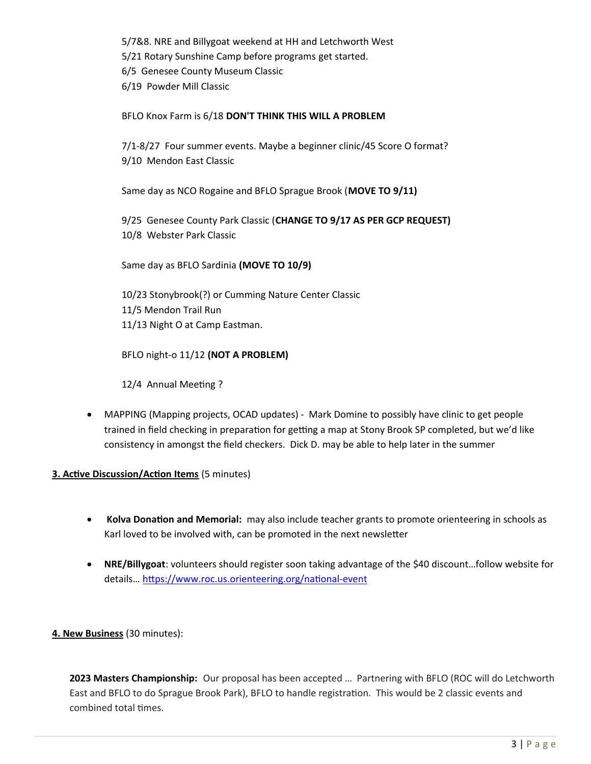5/7&8. NRE and Billygoat weekend at HH and Letchworth West 5/21 Rotary Sunshine Camp before programs get started. 6/5 Genesee County Museum Classic 6/19 Powder Mill Classic

#### BFLO Knox Farm is 6/18 **DON'T THINK THIS WILL A PROBLEM**

7/1-8/27 Four summer events. Maybe a beginner clinic/45 Score O format? 9/10 Mendon East Classic

Same day as NCO Rogaine and BFLO Sprague Brook (**MOVE TO 9/11)**

9/25 Genesee County Park Classic (**CHANGE TO 9/17 AS PER GCP REQUEST)** 10/8 Webster Park Classic

Same day as BFLO Sardinia **(MOVE TO 10/9)**

10/23 Stonybrook(?) or Cumming Nature Center Classic 11/5 Mendon Trail Run 11/13 Night O at Camp Eastman.

BFLO night-o 11/12 **(NOT A PROBLEM)**

12/4 Annual Meeting ?

 MAPPING (Mapping projects, OCAD updates) - Mark Domine to possibly have clinic to get people trained in field checking in preparation for getting a map at Stony Brook SP completed, but we'd like consistency in amongst the field checkers. Dick D. may be able to help later in the summer

### **3. Active Discussion/Action Items** (5 minutes)

- **Kolva Donation and Memorial:** may also include teacher grants to promote orienteering in schools as Karl loved to be involved with, can be promoted in the next newsletter
- **NRE/Billygoat**: volunteers should register soon taking advantage of the \$40 discount…follow website for details… <https://www.roc.us.orienteering.org/national-event>

### **4. New Business** (30 minutes):

**2023 Masters Championship:** Our proposal has been accepted … Partnering with BFLO (ROC will do Letchworth East and BFLO to do Sprague Brook Park), BFLO to handle registration. This would be 2 classic events and combined total times.